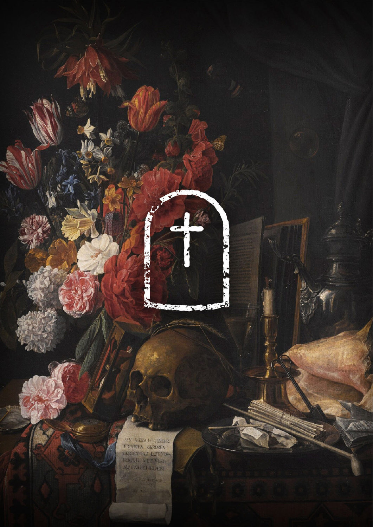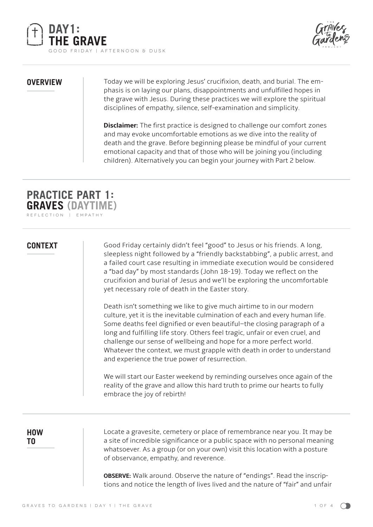



**OVERVIEW** Today we will be exploring Jesus' crucifixion, death, and burial. The emphasis is on laying our plans, disappointments and unfulflled hopes in the grave with Jesus. During these practices we will explore the spiritual disciplines of empathy, silence, self-examination and simplicity.

> **Disclaimer:** The first practice is designed to challenge our comfort zones and may evoke uncomfortable emotions as we dive into the reality of death and the grave. Before beginning please be mindful of your current emotional capacity and that of those who will be joining you (including children). Alternatively you can begin your journey with Part 2 below.

## **PRACTICE PART 1: GRAVES (DAYTIME)**

LECTION | EMPATHY

#### **CONTEXT**

Good Friday certainly didn't feel "good" to Jesus or his friends. A long, sleepless night followed by a "friendly backstabbing", a public arrest, and a failed court case resulting in immediate execution would be considered a "bad day" by most standards (John 18-19). Today we refect on the crucifxion and burial of Jesus and we'll be exploring the uncomfortable yet necessary role of death in the Easter story.

Death isn't something we like to give much airtime to in our modern culture, yet it is the inevitable culmination of each and every human life. Some deaths feel dignifed or even beautiful–the closing paragraph of a long and fulflling life story. Others feel tragic, unfair or even cruel, and challenge our sense of wellbeing and hope for a more perfect world. Whatever the context, we must grapple with death in order to understand and experience the true power of resurrection.

We will start our Easter weekend by reminding ourselves once again of the reality of the grave and allow this hard truth to prime our hearts to fully embrace the joy of rebirth!

### **HOW TO**

Locate a gravesite, cemetery or place of remembrance near you. It may be a site of incredible signifcance or a public space with no personal meaning whatsoever. As a group (or on your own) visit this location with a posture of observance, empathy, and reverence.

**OBSERVE:** Walk around. Observe the nature of "endings". Read the inscriptions and notice the length of lives lived and the nature of "fair" and unfair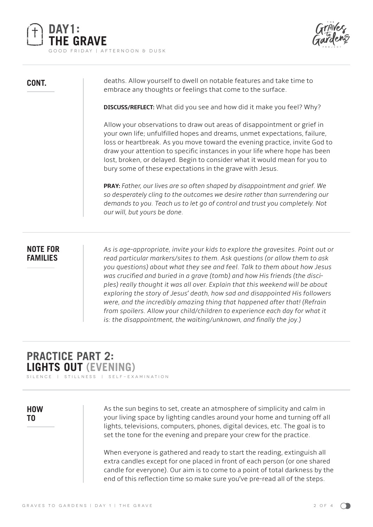



deaths. Allow yourself to dwell on notable features and take time to embrace any thoughts or feelings that come to the surface.

**DISCUSS/REFLECT:** What did you see and how did it make you feel? Why?

Allow your observations to draw out areas of disappointment or grief in your own life; unfulflled hopes and dreams, unmet expectations, failure, loss or heartbreak. As you move toward the evening practice, invite God to draw your attention to specifc instances in your life where hope has been lost, broken, or delayed. Begin to consider what it would mean for you to bury some of these expectations in the grave with Jesus.

**PRAY:** *Father, our lives are so often shaped by disappointment and grief. We so desperately cling to the outcomes we desire rather than surrendering our demands to you. Teach us to let go of control and trust you completely. Not our will, but yours be done.*

#### **NOTE FOR FAMILIES**

**CONT.**

*As is age-appropriate, invite your kids to explore the gravesites. Point out or read particular markers/sites to them. Ask questions (or allow them to ask you questions) about what they see and feel. Talk to them about how Jesus was crucifed and buried in a grave (tomb) and how His friends (the disciples) really thought it was all over. Explain that this weekend will be about exploring the story of Jesus' death, how sad and disappointed His followers were, and the incredibly amazing thing that happened after that! (Refrain from spoilers. Allow your child/children to experience each day for what it is: the disappointment, the waiting/unknown, and fnally the joy.)*

# **PRACTICE PART 2: LIGHTS OUT (EVENING)**

SILENCE | STILLNESS | SELF-EXAMINATION

**HOW TO**

As the sun begins to set, create an atmosphere of simplicity and calm in your living space by lighting candles around your home and turning off all lights, televisions, computers, phones, digital devices, etc. The goal is to set the tone for the evening and prepare your crew for the practice.

When everyone is gathered and ready to start the reading, extinguish all extra candles except for one placed in front of each person (or one shared candle for everyone). Our aim is to come to a point of total darkness by the end of this refection time so make sure you've pre-read all of the steps.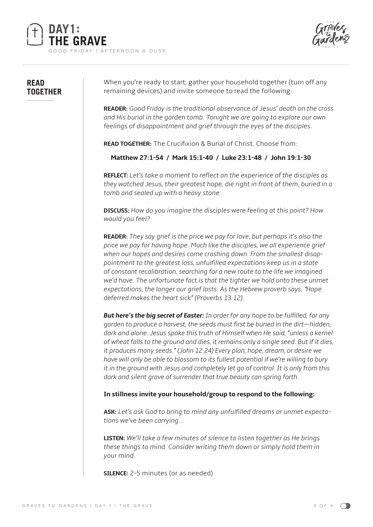



### **READ TOGETHER**

When you're ready to start, gather your household together (turn off any remaining devices) and invite someone to read the following:

**READER:** *Good Friday is the traditional observance of Jesus' death on the cross and His burial in the garden tomb. Tonight we are going to explore our own feelings of disappointment and grief through the eyes of the disciples.* 

**READ TOGETHER:** The Crucifixion & Burial of Christ. Choose from:

**Matthew 27:1-54 / Mark 15:1-40 / Luke 23:1-48 / John 19:1-30**

**REFLECT:** *Let's take a moment to refect on the experience of the disciples as they watched Jesus, their greatest hope, die right in front of them, buried in a tomb and sealed up with a heavy stone.*

**DISCUSS:** *How do you imagine the disciples were feeling at this point? How would you feel?*

**READER:** *They say grief is the price we pay for love, but perhaps it's also the price we pay for having hope. Much like the disciples, we all experience grief when our hopes and desires come crashing down. From the smallest disappointment to the greatest loss, unfulflled expectations keep us in a state of constant recalibration, searching for a new route to the life we imagined we'd have. The unfortunate fact is that the tighter we hold onto these unmet expectations, the longer our grief lasts. As the Hebrew proverb says, "Hope deferred makes the heart sick" (Proverbs 13:12).*

*But here's the big secret of Easter: In order for any hope to be fulflled, for any garden to produce a harvest, the seeds must frst be buried in the dirt—hidden,*  dark and alone. Jesus spoke this truth of Himself when He said, "unless a kernel *of wheat falls to the ground and dies, it remains only a single seed. But if it dies, it produces many seeds." (John 12:24) Every plan, hope, dream, or desire we have will only be able to blossom to its fullest potential if we're willing to bury it in the ground with Jesus and completely let go of control. It is only from this dark and silent grave of surrender that true beauty can spring forth.*

#### **In stillness invite your household/group to respond to the following:**

**ASK:** *Let's ask God to bring to mind any unfulflled dreams or unmet expectations we've been carrying...*

**LISTEN:** *We'll take a few minutes of silence to listen together as He brings these things to mind. Consider writing them down or simply hold them in your mind.*

**SILENCE:** 2-5 minutes (or as needed)